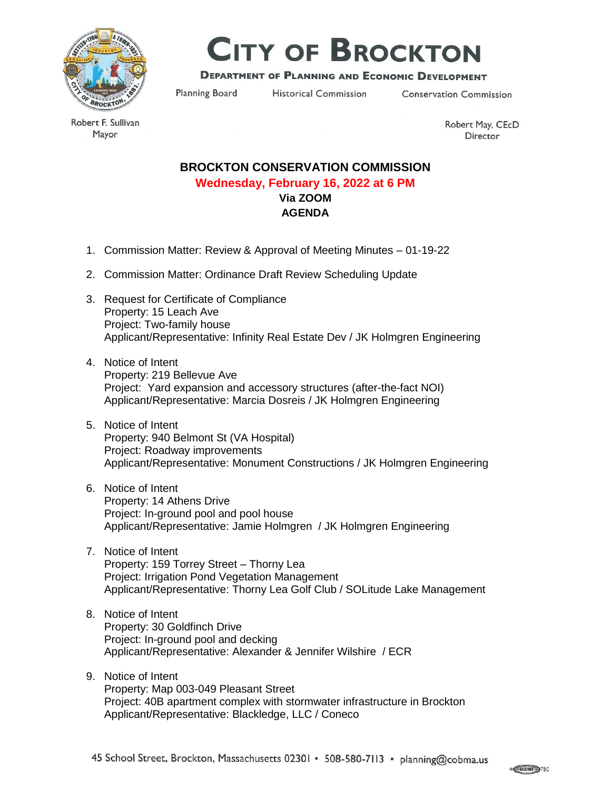

# **CITY OF BROCKTON**

## **DEPARTMENT OF PLANNING AND ECONOMIC DEVELOPMENT**

Planning Board

**Historical Commission** 

**Conservation Commission** 

Robert F. Sullivan Mayor

Robert May, CEcD Director

# **BROCKTON CONSERVATION COMMISSION Wednesday, February 16, 2022 at 6 PM Via ZOOM AGENDA**

- 1. Commission Matter: Review & Approval of Meeting Minutes 01-19-22
- 2. Commission Matter: Ordinance Draft Review Scheduling Update
- 3. Request for Certificate of Compliance Property: 15 Leach Ave Project: Two-family house Applicant/Representative: Infinity Real Estate Dev / JK Holmgren Engineering
- 4. Notice of Intent Property: 219 Bellevue Ave Project: Yard expansion and accessory structures (after-the-fact NOI) Applicant/Representative: Marcia Dosreis / JK Holmgren Engineering
- 5. Notice of Intent Property: 940 Belmont St (VA Hospital) Project: Roadway improvements Applicant/Representative: Monument Constructions / JK Holmgren Engineering
- 6. Notice of Intent Property: 14 Athens Drive Project: In-ground pool and pool house Applicant/Representative: Jamie Holmgren / JK Holmgren Engineering
- 7. Notice of Intent Property: 159 Torrey Street – Thorny Lea Project: Irrigation Pond Vegetation Management Applicant/Representative: Thorny Lea Golf Club / SOLitude Lake Management

## 8. Notice of Intent Property: 30 Goldfinch Drive Project: In-ground pool and decking Applicant/Representative: Alexander & Jennifer Wilshire / ECR

9. Notice of Intent Property: Map 003-049 Pleasant Street Project: 40B apartment complex with stormwater infrastructure in Brockton Applicant/Representative: Blackledge, LLC / Coneco